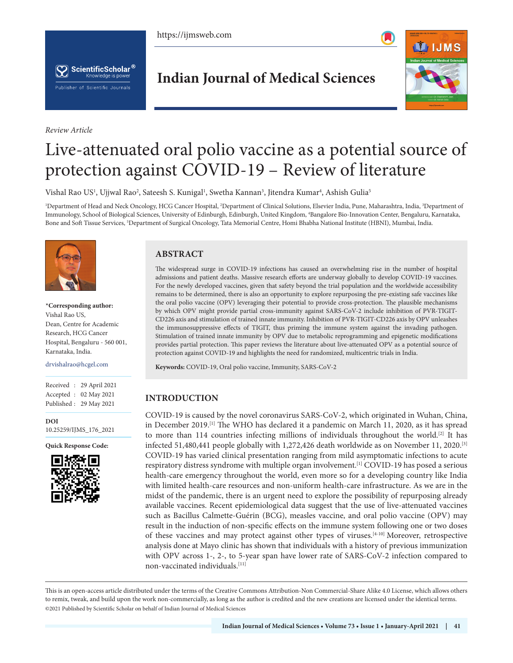https://ijmsweb.com





*Review Article*

**Indian Journal of Medical Sciences**



# Live-attenuated oral polio vaccine as a potential source of protection against COVID-19 – Review of literature

Vishal Rao US<sup>1</sup>, Ujjwal Rao<sup>2</sup>, Sateesh S. Kunigal<sup>1</sup>, Swetha Kannan<sup>3</sup>, Jitendra Kumar<sup>4</sup>, Ashish Gulia<sup>5</sup>

<sup>1</sup>Department of Head and Neck Oncology, HCG Cancer Hospital, <sup>2</sup>Department of Clinical Solutions, Elsevier India, Pune, Maharashtra, India, <sup>3</sup>Department of Immunology, School of Biological Sciences, University of Edinburgh, Edinburgh, United Kingdom, 4 Bangalore Bio-Innovation Center, Bengaluru, Karnataka, Bone and Soft Tissue Services, <sup>5</sup>Department of Surgical Oncology, Tata Memorial Centre, Homi Bhabha National Institute (HBNI), Mumbai, India.



**\*Corresponding author:**  Vishal Rao US, Dean, Centre for Academic Research, HCG Cancer Hospital, Bengaluru - 560 001, Karnataka, India.

drvishalrao@hcgel.com

Received : 29 April 2021 Accepted : 02 May 2021 Published : 29 May 2021

**DOI** [10.25259/IJMS\\_176\\_2021](https://dx.doi.org/10.25259/IJMS_176_2021)

**Quick Response Code:**



# **ABSTRACT**

The widespread surge in COVID-19 infections has caused an overwhelming rise in the number of hospital admissions and patient deaths. Massive research efforts are underway globally to develop COVID-19 vaccines. For the newly developed vaccines, given that safety beyond the trial population and the worldwide accessibility remains to be determined, there is also an opportunity to explore repurposing the pre-existing safe vaccines like the oral polio vaccine (OPV) leveraging their potential to provide cross-protection. The plausible mechanisms by which OPV might provide partial cross-immunity against SARS-CoV-2 include inhibition of PVR-TIGIT-CD226 axis and stimulation of trained innate immunity. Inhibition of PVR-TIGIT-CD226 axis by OPV unleashes the immunosuppressive effects of TIGIT, thus priming the immune system against the invading pathogen. Stimulation of trained innate immunity by OPV due to metabolic reprogramming and epigenetic modifications provides partial protection. This paper reviews the literature about live-attenuated OPV as a potential source of protection against COVID-19 and highlights the need for randomized, multicentric trials in India.

**Keywords:** COVID-19, Oral polio vaccine, Immunity, SARS-CoV-2

# **INTRODUCTION**

COVID-19 is caused by the novel coronavirus SARS-CoV-2, which originated in Wuhan, China, in December 2019.[1] The WHO has declared it a pandemic on March 11, 2020, as it has spread to more than 114 countries infecting millions of individuals throughout the world.<sup>[2]</sup> It has infected 51,480,441 people globally with 1,272,426 death worldwide as on November 11, 2020.<sup>[3]</sup> COVID-19 has varied clinical presentation ranging from mild asymptomatic infections to acute respiratory distress syndrome with multiple organ involvement.[1] COVID-19 has posed a serious health-care emergency throughout the world, even more so for a developing country like India with limited health-care resources and non-uniform health-care infrastructure. As we are in the midst of the pandemic, there is an urgent need to explore the possibility of repurposing already available vaccines. Recent epidemiological data suggest that the use of live-attenuated vaccines such as Bacillus Calmette-Guérin (BCG), measles vaccine, and oral polio vaccine (OPV) may result in the induction of non-specific effects on the immune system following one or two doses of these vaccines and may protect against other types of viruses.[4-10] Moreover, retrospective analysis done at Mayo clinic has shown that individuals with a history of previous immunization with OPV across 1-, 2-, to 5-year span have lower rate of SARS-CoV-2 infection compared to non-vaccinated individuals.[11]

This is an open-access article distributed under the terms of the Creative Commons Attribution-Non Commercial-Share Alike 4.0 License, which allows others to remix, tweak, and build upon the work non-commercially, as long as the author is credited and the new creations are licensed under the identical terms. ©2021 Published by Scientific Scholar on behalf of Indian Journal of Medical Sciences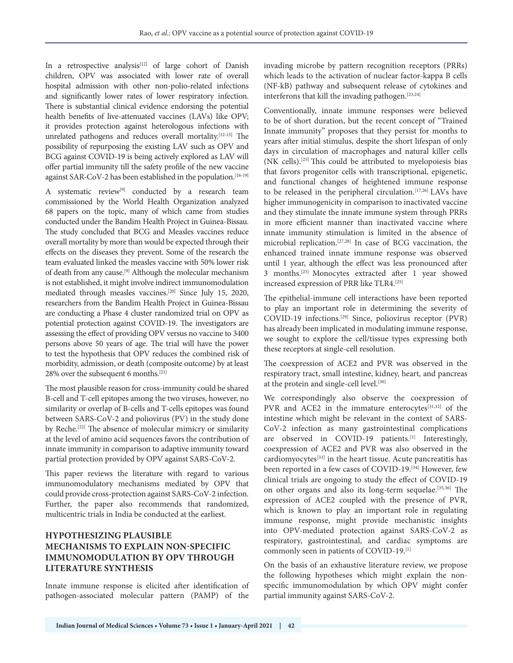In a retrospective analysis<sup>[12]</sup> of large cohort of Danish children, OPV was associated with lower rate of overall hospital admission with other non-polio-related infections and significantly lower rates of lower respiratory infection. There is substantial clinical evidence endorsing the potential health benefits of live-attenuated vaccines (LAVs) like OPV; it provides protection against heterologous infections with unrelated pathogens and reduces overall mortality.[12-15] The possibility of repurposing the existing LAV such as OPV and BCG against COVID-19 is being actively explored as LAV will offer partial immunity till the safety profile of the new vaccine against SAR-CoV-2 has been established in the population.<sup>[16-19]</sup>

A systematic review<sup>[9]</sup> conducted by a research team commissioned by the World Health Organization analyzed 68 papers on the topic, many of which came from studies conducted under the Bandim Health Project in Guinea-Bissau. The study concluded that BCG and Measles vaccines reduce overall mortality by more than would be expected through their effects on the diseases they prevent. Some of the research the team evaluated linked the measles vaccine with 50% lower risk of death from any cause.[9] Although the molecular mechanism is not established, it might involve indirect immunomodulation mediated through measles vaccines.[20] Since July 15, 2020, researchers from the Bandim Health Project in Guinea-Bissau are conducting a Phase 4 cluster randomized trial on OPV as potential protection against COVID-19. The investigators are assessing the effect of providing OPV versus no vaccine to 3400 persons above 50 years of age. The trial will have the power to test the hypothesis that OPV reduces the combined risk of morbidity, admission, or death (composite outcome) by at least 28% over the subsequent 6 months.[21]

The most plausible reason for cross-immunity could be shared B-cell and T-cell epitopes among the two viruses, however, no similarity or overlap of B-cells and T-cells epitopes was found between SARS-CoV-2 and poliovirus (PV) in the study done by Reche.<sup>[22]</sup> The absence of molecular mimicry or similarity at the level of amino acid sequences favors the contribution of innate immunity in comparison to adaptive immunity toward partial protection provided by OPV against SARS-CoV-2.

This paper reviews the literature with regard to various immunomodulatory mechanisms mediated by OPV that could provide cross-protection against SARS-CoV-2 infection. Further, the paper also recommends that randomized, multicentric trials in India be conducted at the earliest.

# **HYPOTHESIZING PLAUSIBLE MECHANISMS TO EXPLAIN NON-SPECIFIC IMMUNOMODULATION BY OPV THROUGH LITERATURE SYNTHESIS**

Innate immune response is elicited after identification of pathogen-associated molecular pattern (PAMP) of the

invading microbe by pattern recognition receptors (PRRs) which leads to the activation of nuclear factor-kappa B cells (NF-kB) pathway and subsequent release of cytokines and interferons that kill the invading pathogen.[23,24]

Conventionally, innate immune responses were believed to be of short duration, but the recent concept of "Trained Innate immunity" proposes that they persist for months to years after initial stimulus, despite the short lifespan of only days in circulation of macrophages and natural killer cells (NK cells).[25] This could be attributed to myelopoiesis bias that favors progenitor cells with transcriptional, epigenetic, and functional changes of heightened immune response to be released in the peripheral circulation.<sup>[17,26]</sup> LAVs have higher immunogenicity in comparison to inactivated vaccine and they stimulate the innate immune system through PRRs in more efficient manner than inactivated vaccine where innate immunity stimulation is limited in the absence of microbial replication.[27,28] In case of BCG vaccination, the enhanced trained innate immune response was observed until 1 year, although the effect was less pronounced after 3 months.[25] Monocytes extracted after 1 year showed increased expression of PRR like TLR4.[25]

The epithelial-immune cell interactions have been reported to play an important role in determining the severity of COVID-19 infections.[29] Since, poliovirus receptor (PVR) has already been implicated in modulating immune response, we sought to explore the cell/tissue types expressing both these receptors at single-cell resolution.

The coexpression of ACE2 and PVR was observed in the respiratory tract, small intestine, kidney, heart, and pancreas at the protein and single-cell level.<sup>[30]</sup>

We correspondingly also observe the coexpression of PVR and ACE2 in the immature enterocytes $[31,32]$  of the intestine which might be relevant in the context of SARS-CoV-2 infection as many gastrointestinal complications are observed in COVID-19 patients.<sup>[1]</sup> Interestingly, coexpression of ACE2 and PVR was also observed in the cardiomyocytes[33] in the heart tissue. Acute pancreatitis has been reported in a few cases of COVID-19.[34] However, few clinical trials are ongoing to study the effect of COVID-19 on other organs and also its long-term sequelae.[35,36] The expression of ACE2 coupled with the presence of PVR, which is known to play an important role in regulating immune response, might provide mechanistic insights into OPV-mediated protection against SARS-CoV-2 as respiratory, gastrointestinal, and cardiac symptoms are commonly seen in patients of COVID-19.[1]

On the basis of an exhaustive literature review, we propose the following hypotheses which might explain the nonspecific immunomodulation by which OPV might confer partial immunity against SARS-CoV-2.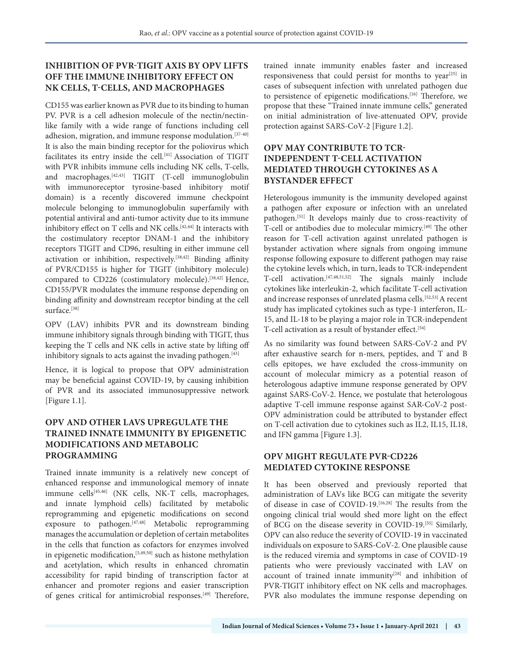#### **INHIBITION OF PVR-TIGIT AXIS BY OPV LIFTS OFF THE IMMUNE INHIBITORY EFFECT ON NK CELLS, T-CELLS, AND MACROPHAGES**

CD155 was earlier known as PVR due to its binding to human PV. PVR is a cell adhesion molecule of the nectin/nectinlike family with a wide range of functions including cell adhesion, migration, and immune response modulation.[37-40] It is also the main binding receptor for the poliovirus which facilitates its entry inside the cell.<sup>[41]</sup> Association of TIGIT with PVR inhibits immune cells including NK cells, T-cells, and macrophages.[42,43] TIGIT (T-cell immunoglobulin with immunoreceptor tyrosine-based inhibitory motif domain) is a recently discovered immune checkpoint molecule belonging to immunoglobulin superfamily with potential antiviral and anti-tumor activity due to its immune inhibitory effect on T cells and NK cells.<sup>[42,44]</sup> It interacts with the costimulatory receptor DNAM-1 and the inhibitory receptors TIGIT and CD96, resulting in either immune cell activation or inhibition, respectively.[38,42] Binding affinity of PVR/CD155 is higher for TIGIT (inhibitory molecule) compared to CD226 (costimulatory molecule).<sup>[38,42]</sup> Hence, CD155/PVR modulates the immune response depending on binding affinity and downstream receptor binding at the cell surface.<sup>[38]</sup>

OPV (LAV) inhibits PVR and its downstream binding immune inhibitory signals through binding with TIGIT, thus keeping the T cells and NK cells in active state by lifting off inhibitory signals to acts against the invading pathogen.<sup>[43]</sup>

Hence, it is logical to propose that OPV administration may be beneficial against COVID-19, by causing inhibition of PVR and its associated immunosuppressive network [Figure 1.1].

### **OPV AND OTHER LAVS UPREGULATE THE TRAINED INNATE IMMUNITY BY EPIGENETIC MODIFICATIONS AND METABOLIC PROGRAMMING**

Trained innate immunity is a relatively new concept of enhanced response and immunological memory of innate immune cells<sup>[45,46]</sup> (NK cells, NK-T cells, macrophages, and innate lymphoid cells) facilitated by metabolic reprogramming and epigenetic modifications on second exposure to pathogen.[47,48] Metabolic reprogramming manages the accumulation or depletion of certain metabolites in the cells that function as cofactors for enzymes involved in epigenetic modification,  $[5,49,50]$  such as histone methylation and acetylation, which results in enhanced chromatin accessibility for rapid binding of transcription factor at enhancer and promoter regions and easier transcription of genes critical for antimicrobial responses.[49] Therefore,

trained innate immunity enables faster and increased responsiveness that could persist for months to year<sup>[25]</sup> in cases of subsequent infection with unrelated pathogen due to persistence of epigenetic modifications.<sup>[16]</sup> Therefore, we propose that these "Trained innate immune cells," generated on initial administration of live-attenuated OPV, provide protection against SARS-CoV-2 [Figure 1.2].

# **OPV MAY CONTRIBUTE TO TCR-INDEPENDENT T-CELL ACTIVATION MEDIATED THROUGH CYTOKINES AS A BYSTANDER EFFECT**

Heterologous immunity is the immunity developed against a pathogen after exposure or infection with an unrelated pathogen.[51] It develops mainly due to cross-reactivity of T-cell or antibodies due to molecular mimicry.[49] The other reason for T-cell activation against unrelated pathogen is bystander activation where signals from ongoing immune response following exposure to different pathogen may raise the cytokine levels which, in turn, leads to TCR-independent T-cell activation.[47,48,51,52] The signals mainly include cytokines like interleukin-2, which facilitate T-cell activation and increase responses of unrelated plasma cells.<sup>[52,53]</sup> A recent study has implicated cytokines such as type-1 interferon, IL-15, and IL-18 to be playing a major role in TCR-independent T-cell activation as a result of bystander effect.<sup>[54]</sup>

As no similarity was found between SARS-CoV-2 and PV after exhaustive search for n-mers, peptides, and T and B cells epitopes, we have excluded the cross-immunity on account of molecular mimicry as a potential reason of heterologous adaptive immune response generated by OPV against SARS-CoV-2. Hence, we postulate that heterologous adaptive T-cell immune response against SAR-CoV-2 post-OPV administration could be attributed to bystander effect on T-cell activation due to cytokines such as IL2, IL15, IL18, and IFN gamma [Figure 1.3].

#### **OPV MIGHT REGULATE PVR-CD226 MEDIATED CYTOKINE RESPONSE**

It has been observed and previously reported that administration of LAVs like BCG can mitigate the severity of disease in case of COVID-19.[16,28] The results from the ongoing clinical trial would shed more light on the effect of BCG on the disease severity in COVID-19.[55] Similarly, OPV can also reduce the severity of COVID-19 in vaccinated individuals on exposure to SARS-CoV-2. One plausible cause is the reduced viremia and symptoms in case of COVID-19 patients who were previously vaccinated with LAV on account of trained innate immunity $[28]$  and inhibition of PVR-TIGIT inhibitory effect on NK cells and macrophages. PVR also modulates the immune response depending on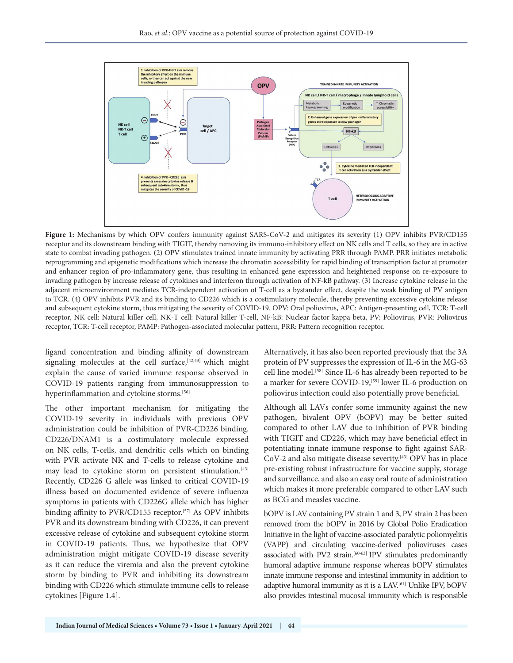

Figure 1: Mechanisms by which OPV confers immunity against SARS-CoV-2 and mitigates its severity (1) OPV inhibits PVR/CD155 receptor and its downstream binding with TIGIT, thereby removing its immuno-inhibitory effect on NK cells and T cells, so they are in active state to combat invading pathogen. (2) OPV stimulates trained innate immunity by activating PRR through PAMP. PRR initiates metabolic reprogramming and epigenetic modifications which increase the chromatin accessibility for rapid binding of transcription factor at promoter and enhancer region of pro-inflammatory gene, thus resulting in enhanced gene expression and heightened response on re-exposure to invading pathogen by increase release of cytokines and interferon through activation of NF-kB pathway. (3) Increase cytokine release in the adjacent microenvironment mediates TCR-independent activation of T-cell as a bystander effect, despite the weak binding of PV antigen to TCR. (4) OPV inhibits PVR and its binding to CD226 which is a costimulatory molecule, thereby preventing excessive cytokine release and subsequent cytokine storm, thus mitigating the severity of COVID-19. OPV: Oral poliovirus, APC: Antigen-presenting cell, TCR: T-cell receptor, NK cell: Natural killer cell, NK-T cell: Natural killer T-cell, NF-kB: Nuclear factor kappa beta, PV: Poliovirus, PVR: Poliovirus receptor, TCR: T-cell receptor, PAMP: Pathogen-associated molecular pattern, PRR: Pattern recognition receptor.

ligand concentration and binding affinity of downstream signaling molecules at the cell surface,  $[42, 43]$  which might explain the cause of varied immune response observed in COVID-19 patients ranging from immunosuppression to hyperinflammation and cytokine storms.<sup>[56]</sup>

The other important mechanism for mitigating the COVID-19 severity in individuals with previous OPV administration could be inhibition of PVR-CD226 binding. CD226/DNAM1 is a costimulatory molecule expressed on NK cells, T-cells, and dendritic cells which on binding with PVR activate NK and T-cells to release cytokine and may lead to cytokine storm on persistent stimulation.<sup>[43]</sup> Recently, CD226 G allele was linked to critical COVID-19 illness based on documented evidence of severe influenza symptoms in patients with CD226G allele which has higher binding affinity to PVR/CD155 receptor.[57] As OPV inhibits PVR and its downstream binding with CD226, it can prevent excessive release of cytokine and subsequent cytokine storm in COVID-19 patients. Thus, we hypothesize that OPV administration might mitigate COVID-19 disease severity as it can reduce the viremia and also the prevent cytokine storm by binding to PVR and inhibiting its downstream binding with CD226 which stimulate immune cells to release cytokines [Figure 1.4].

Alternatively, it has also been reported previously that the 3A protein of PV suppresses the expression of IL-6 in the MG-63 cell line model.[58] Since IL-6 has already been reported to be a marker for severe COVID-19,<sup>[59]</sup> lower IL-6 production on poliovirus infection could also potentially prove beneficial.

Although all LAVs confer some immunity against the new pathogen, bivalent OPV (bOPV) may be better suited compared to other LAV due to inhibition of PVR binding with TIGIT and CD226, which may have beneficial effect in potentiating innate immune response to fight against SAR-CoV-2 and also mitigate disease severity.[43] OPV has in place pre-existing robust infrastructure for vaccine supply, storage and surveillance, and also an easy oral route of administration which makes it more preferable compared to other LAV such as BCG and measles vaccine.

bOPV is LAV containing PV strain 1 and 3, PV strain 2 has been removed from the bOPV in 2016 by Global Polio Eradication Initiative in the light of vaccine-associated paralytic poliomyelitis (VAPP) and circulating vaccine-derived polioviruses cases associated with PV2 strain.[60-63] IPV stimulates predominantly humoral adaptive immune response whereas bOPV stimulates innate immune response and intestinal immunity in addition to adaptive humoral immunity as it is a LAV.[61] Unlike IPV, bOPV also provides intestinal mucosal immunity which is responsible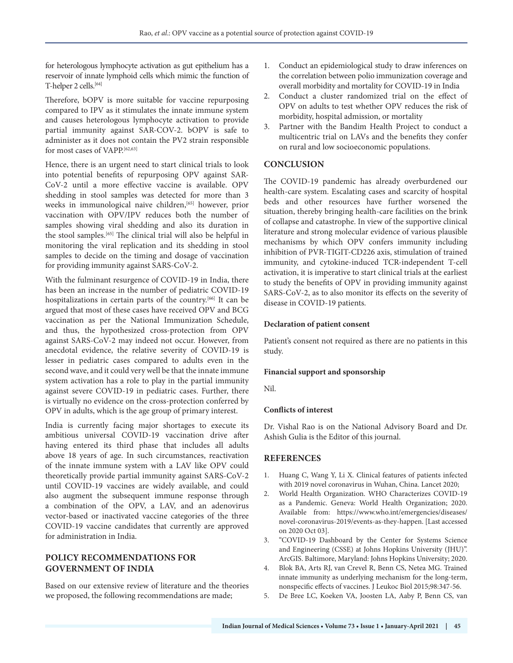for heterologous lymphocyte activation as gut epithelium has a reservoir of innate lymphoid cells which mimic the function of T-helper 2 cells.<sup>[64]</sup>

Therefore, bOPV is more suitable for vaccine repurposing compared to IPV as it stimulates the innate immune system and causes heterologous lymphocyte activation to provide partial immunity against SAR-COV-2. bOPV is safe to administer as it does not contain the PV2 strain responsible for most cases of VAPP.[62,63]

Hence, there is an urgent need to start clinical trials to look into potential benefits of repurposing OPV against SAR-CoV-2 until a more effective vaccine is available. OPV shedding in stool samples was detected for more than 3 weeks in immunological naive children,<sup>[65]</sup> however, prior vaccination with OPV/IPV reduces both the number of samples showing viral shedding and also its duration in the stool samples.[65] The clinical trial will also be helpful in monitoring the viral replication and its shedding in stool samples to decide on the timing and dosage of vaccination for providing immunity against SARS-CoV-2.

With the fulminant resurgence of COVID-19 in India, there has been an increase in the number of pediatric COVID-19 hospitalizations in certain parts of the country.<sup>[66]</sup> It can be argued that most of these cases have received OPV and BCG vaccination as per the National Immunization Schedule, and thus, the hypothesized cross-protection from OPV against SARS-CoV-2 may indeed not occur. However, from anecdotal evidence, the relative severity of COVID-19 is lesser in pediatric cases compared to adults even in the second wave, and it could very well be that the innate immune system activation has a role to play in the partial immunity against severe COVID-19 in pediatric cases. Further, there is virtually no evidence on the cross-protection conferred by OPV in adults, which is the age group of primary interest.

India is currently facing major shortages to execute its ambitious universal COVID-19 vaccination drive after having entered its third phase that includes all adults above 18 years of age. In such circumstances, reactivation of the innate immune system with a LAV like OPV could theoretically provide partial immunity against SARS-CoV-2 until COVID-19 vaccines are widely available, and could also augment the subsequent immune response through a combination of the OPV, a LAV, and an adenovirus vector-based or inactivated vaccine categories of the three COVID-19 vaccine candidates that currently are approved for administration in India.

#### **POLICY RECOMMENDATIONS FOR GOVERNMENT OF INDIA**

Based on our extensive review of literature and the theories we proposed, the following recommendations are made;

- 1. Conduct an epidemiological study to draw inferences on the correlation between polio immunization coverage and overall morbidity and mortality for COVID-19 in India
- 2. Conduct a cluster randomized trial on the effect of OPV on adults to test whether OPV reduces the risk of morbidity, hospital admission, or mortality
- 3. Partner with the Bandim Health Project to conduct a multicentric trial on LAVs and the benefits they confer on rural and low socioeconomic populations.

#### **CONCLUSION**

The COVID-19 pandemic has already overburdened our health-care system. Escalating cases and scarcity of hospital beds and other resources have further worsened the situation, thereby bringing health-care facilities on the brink of collapse and catastrophe. In view of the supportive clinical literature and strong molecular evidence of various plausible mechanisms by which OPV confers immunity including inhibition of PVR-TIGIT-CD226 axis, stimulation of trained immunity, and cytokine-induced TCR-independent T-cell activation, it is imperative to start clinical trials at the earliest to study the benefits of OPV in providing immunity against SARS-CoV-2, as to also monitor its effects on the severity of disease in COVID-19 patients.

#### **Declaration of patient consent**

Patient's consent not required as there are no patients in this study.

#### **Financial support and sponsorship**

Nil.

#### **Conflicts of interest**

Dr. Vishal Rao is on the National Advisory Board and Dr. Ashish Gulia is the Editor of this journal.

#### **REFERENCES**

- 1. Huang C, Wang Y, Li X. Clinical features of patients infected with 2019 novel coronavirus in Wuhan, China. Lancet 2020;
- 2. World Health Organization. WHO Characterizes COVID-19 as a Pandemic. Geneva: World Health Organization; 2020. Available from: https://www.who.int/emergencies/diseases/ novel-coronavirus-2019/events-as-they-happen. [Last accessed on 2020 Oct 03].
- 3. "COVID-19 Dashboard by the Center for Systems Science and Engineering (CSSE) at Johns Hopkins University (JHU)". ArcGIS. Baltimore, Maryland: Johns Hopkins University; 2020.
- 4. Blok BA, Arts RJ, van Crevel R, Benn CS, Netea MG. Trained innate immunity as underlying mechanism for the long‐term, nonspecific effects of vaccines. J Leukoc Biol 2015;98:347-56.
- 5. De Bree LC, Koeken VA, Joosten LA, Aaby P, Benn CS, van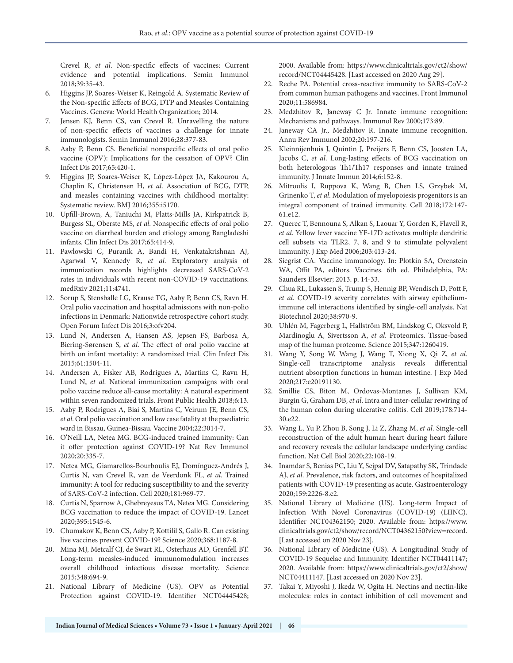Crevel R, *et al*. Non-specific effects of vaccines: Current evidence and potential implications. Semin Immunol 2018;39:35-43.

- 6. Higgins JP, Soares-Weiser K, Reingold A. Systematic Review of the Non-specific Effects of BCG, DTP and Measles Containing Vaccines. Geneva: World Health Organization; 2014.
- 7. Jensen KJ, Benn CS, van Crevel R. Unravelling the nature of non-specific effects of vaccines a challenge for innate immunologists. Semin Immunol 2016;28:377-83.
- Aaby P, Benn CS. Beneficial nonspecific effects of oral polio vaccine (OPV): Implications for the cessation of OPV? Clin Infect Dis 2017;65:420-1.
- 9. Higgins JP, Soares-Weiser K, López-López JA, Kakourou A, Chaplin K, Christensen H, *et al*. Association of BCG, DTP, and measles containing vaccines with childhood mortality: Systematic review. BMJ 2016;355:i5170.
- 10. Upfill-Brown, A, Taniuchi M, Platts-Mills JA, Kirkpatrick B, Burgess SL, Oberste MS, *et al*. Nonspecific effects of oral polio vaccine on diarrheal burden and etiology among Bangladeshi infants. Clin Infect Dis 2017;65:414-9.
- 11. Pawlowski C, Puranik A, Bandi H, Venkatakrishnan AJ, Agarwal V, Kennedy R, *et al*. Exploratory analysis of immunization records highlights decreased SARS-CoV-2 rates in individuals with recent non-COVID-19 vaccinations. medRxiv 2021;11:4741.
- 12. Sorup S, Stensballe LG, Krause TG, Aaby P, Benn CS, Ravn H. Oral polio vaccination and hospital admissions with non-polio infections in Denmark: Nationwide retrospective cohort study. Open Forum Infect Dis 2016;3:ofv204.
- 13. Lund N, Andersen A, Hansen AS, Jepsen FS, Barbosa A, Biering-Sørensen S, *et al*. The effect of oral polio vaccine at birth on infant mortality: A randomized trial. Clin Infect Dis 2015;61:1504-11.
- 14. Andersen A, Fisker AB, Rodrigues A, Martins C, Ravn H, Lund N, *et al*. National immunization campaigns with oral polio vaccine reduce all-cause mortality: A natural experiment within seven randomized trials. Front Public Health 2018;6:13.
- 15. Aaby P, Rodrigues A, Biai S, Martins C, Veirum JE, Benn CS, *et al*. Oral polio vaccination and low case fatality at the paediatric ward in Bissau, Guinea-Bissau. Vaccine 2004;22:3014-7.
- 16. O'Neill LA, Netea MG. BCG-induced trained immunity: Can it offer protection against COVID-19? Nat Rev Immunol 2020;20:335-7.
- 17. Netea MG, Giamarellos-Bourboulis EJ, Domínguez-Andrés J, Curtis N, van Crevel R, van de Veerdonk FL, *et al*. Trained immunity: A tool for reducing susceptibility to and the severity of SARS-CoV-2 infection. Cell 2020;181:969-77.
- 18. Curtis N, Sparrow A, Ghebreyesus TA, Netea MG. Considering BCG vaccination to reduce the impact of COVID-19. Lancet 2020;395:1545-6.
- 19. Chumakov K, Benn CS, Aaby P, Kottilil S, Gallo R. Can existing live vaccines prevent COVID-19? Science 2020;368:1187-8.
- 20. Mina MJ, Metcalf CJ, de Swart RL, Osterhaus AD, Grenfell BT. Long-term measles-induced immunomodulation increases overall childhood infectious disease mortality. Science 2015;348:694-9.
- 21. National Library of Medicine (US). OPV as Potential Protection against COVID-19. Identifier NCT04445428;

2000. Available from: https://www.clinicaltrials.gov/ct2/show/ record/NCT04445428. [Last accessed on 2020 Aug 29].

- 22. Reche PA. Potential cross-reactive immunity to SARS-CoV-2 from common human pathogens and vaccines. Front Immunol 2020;11:586984.
- 23. Medzhitov R, Janeway C Jr. Innate immune recognition: Mechanisms and pathways. Immunol Rev 2000;173:89.
- 24. Janeway CA Jr., Medzhitov R. Innate immune recognition. Annu Rev Immunol 2002;20:197-216.
- 25. Kleinnijenhuis J, Quintin J, Preijers F, Benn CS, Joosten LA, Jacobs C, *et al*. Long-lasting effects of BCG vaccination on both heterologous Th1/Th17 responses and innate trained immunity. J Innate Immun 2014;6:152-8.
- 26. Mitroulis I, Ruppova K, Wang B, Chen LS, Grzybek M, Grinenko T, *et al*. Modulation of myelopoiesis progenitors is an integral component of trained immunity. Cell 2018;172:147- 61.e12.
- 27. Querec T, Bennouna S, Alkan S, Laouar Y, Gorden K, Flavell R, *et al*. Yellow fever vaccine YF-17D activates multiple dendritic cell subsets via TLR2, 7, 8, and 9 to stimulate polyvalent immunity. J Exp Med 2006;203:413-24.
- 28. Siegrist CA. Vaccine immunology. In: Plotkin SA, Orenstein WA, Offit PA, editors. Vaccines. 6th ed. Philadelphia, PA: Saunders Elsevier; 2013. p. 14-33.
- 29. Chua RL, Lukassen S, Trump S, Hennig BP, Wendisch D, Pott F, *et al.* COVID-19 severity correlates with airway epitheliumimmune cell interactions identified by single-cell analysis. Nat Biotechnol 2020;38:970-9.
- 30. Uhlén M, Fagerberg L, Hallström BM, Lindskog C, Oksvold P, Mardinoglu A, Sivertsson A, *et al*. Proteomics. Tissue-based map of the human proteome. Science 2015;347:1260419.
- 31. Wang Y, Song W, Wang J, Wang T, Xiong X, Qi Z, *et al*. Single-cell transcriptome analysis reveals differential nutrient absorption functions in human intestine. J Exp Med 2020;217:e20191130.
- 32. Smillie CS, Biton M, Ordovas-Montanes J, Sullivan KM, Burgin G, Graham DB, *et al*. Intra and inter-cellular rewiring of the human colon during ulcerative colitis. Cell 2019;178:714- 30.e22.
- 33. Wang L, Yu P, Zhou B, Song J, Li Z, Zhang M, *et al*. Single-cell reconstruction of the adult human heart during heart failure and recovery reveals the cellular landscape underlying cardiac function. Nat Cell Biol 2020;22:108-19.
- 34. Inamdar S, Benias PC, Liu Y, Sejpal DV, Satapathy SK, Trindade AJ, *et al*. Prevalence, risk factors, and outcomes of hospitalized patients with COVID-19 presenting as acute. Gastroenterology 2020;159:2226-8.e2.
- 35. National Library of Medicine (US). Long-term Impact of Infection With Novel Coronavirus (COVID-19) (LIINC). Identifier NCT04362150; 2020. Available from: https://www. clinicaltrials.gov/ct2/show/record/NCT04362150?view=record. [Last accessed on 2020 Nov 23].
- 36. National Library of Medicine (US). A Longitudinal Study of COVID-19 Sequelae and Immunity. Identifier NCT04411147; 2020. Available from: https://www.clinicaltrials.gov/ct2/show/ NCT04411147. [Last accessed on 2020 Nov 23].
- 37. Takai Y, Miyoshi J, Ikeda W, Ogita H. Nectins and nectin-like molecules: roles in contact inhibition of cell movement and